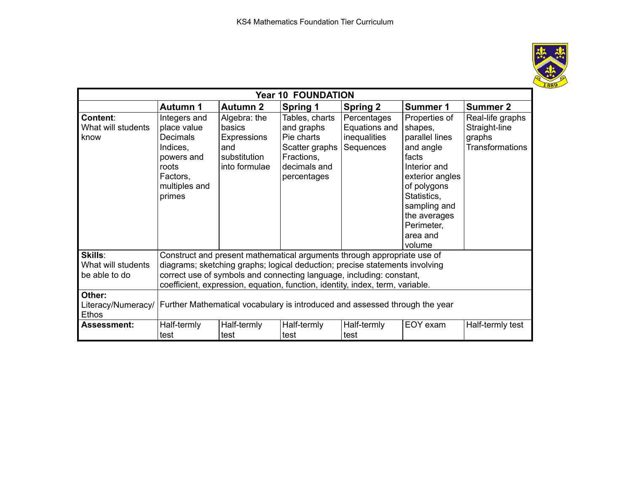

| <b>Year 10 FOUNDATION</b>              |                                                                                                                                                        |                                                                               |                                                                                                           |                                                           |                                                                                                                                                                                                       |                                                                       |  |  |  |  |
|----------------------------------------|--------------------------------------------------------------------------------------------------------------------------------------------------------|-------------------------------------------------------------------------------|-----------------------------------------------------------------------------------------------------------|-----------------------------------------------------------|-------------------------------------------------------------------------------------------------------------------------------------------------------------------------------------------------------|-----------------------------------------------------------------------|--|--|--|--|
|                                        | <b>Autumn 1</b>                                                                                                                                        | <b>Autumn 2</b>                                                               | <b>Spring 1</b>                                                                                           | <b>Spring 2</b>                                           | Summer 1                                                                                                                                                                                              | <b>Summer 2</b>                                                       |  |  |  |  |
| Content:<br>What will students<br>know | Integers and<br>place value<br><b>Decimals</b><br>Indices,<br>powers and<br>roots<br>Factors,<br>multiples and<br>primes                               | Algebra: the<br>basics<br>Expressions<br>and<br>substitution<br>into formulae | Tables, charts<br>and graphs<br>Pie charts<br>Scatter graphs<br>Fractions,<br>decimals and<br>percentages | Percentages<br>Equations and<br>inequalities<br>Sequences | Properties of<br>shapes,<br>parallel lines<br>and angle<br>facts<br>Interior and<br>exterior angles<br>of polygons<br>Statistics,<br>sampling and<br>the averages<br>Perimeter,<br>area and<br>volume | Real-life graphs<br>Straight-line<br>graphs<br><b>Transformations</b> |  |  |  |  |
| Skills:<br>What will students          | Construct and present mathematical arguments through appropriate use of<br>diagrams; sketching graphs; logical deduction; precise statements involving |                                                                               |                                                                                                           |                                                           |                                                                                                                                                                                                       |                                                                       |  |  |  |  |
| be able to do                          | correct use of symbols and connecting language, including: constant,<br>coefficient, expression, equation, function, identity, index, term, variable.  |                                                                               |                                                                                                           |                                                           |                                                                                                                                                                                                       |                                                                       |  |  |  |  |
| Other:<br><b>Ethos</b>                 | Literacy/Numeracy/   Further Mathematical vocabulary is introduced and assessed through the year                                                       |                                                                               |                                                                                                           |                                                           |                                                                                                                                                                                                       |                                                                       |  |  |  |  |
| <b>Assessment:</b>                     | Half-termly<br>test                                                                                                                                    | Half-termly<br>test                                                           | Half-termly<br>test                                                                                       | Half-termly<br>test                                       | EOY exam                                                                                                                                                                                              | Half-termly test                                                      |  |  |  |  |